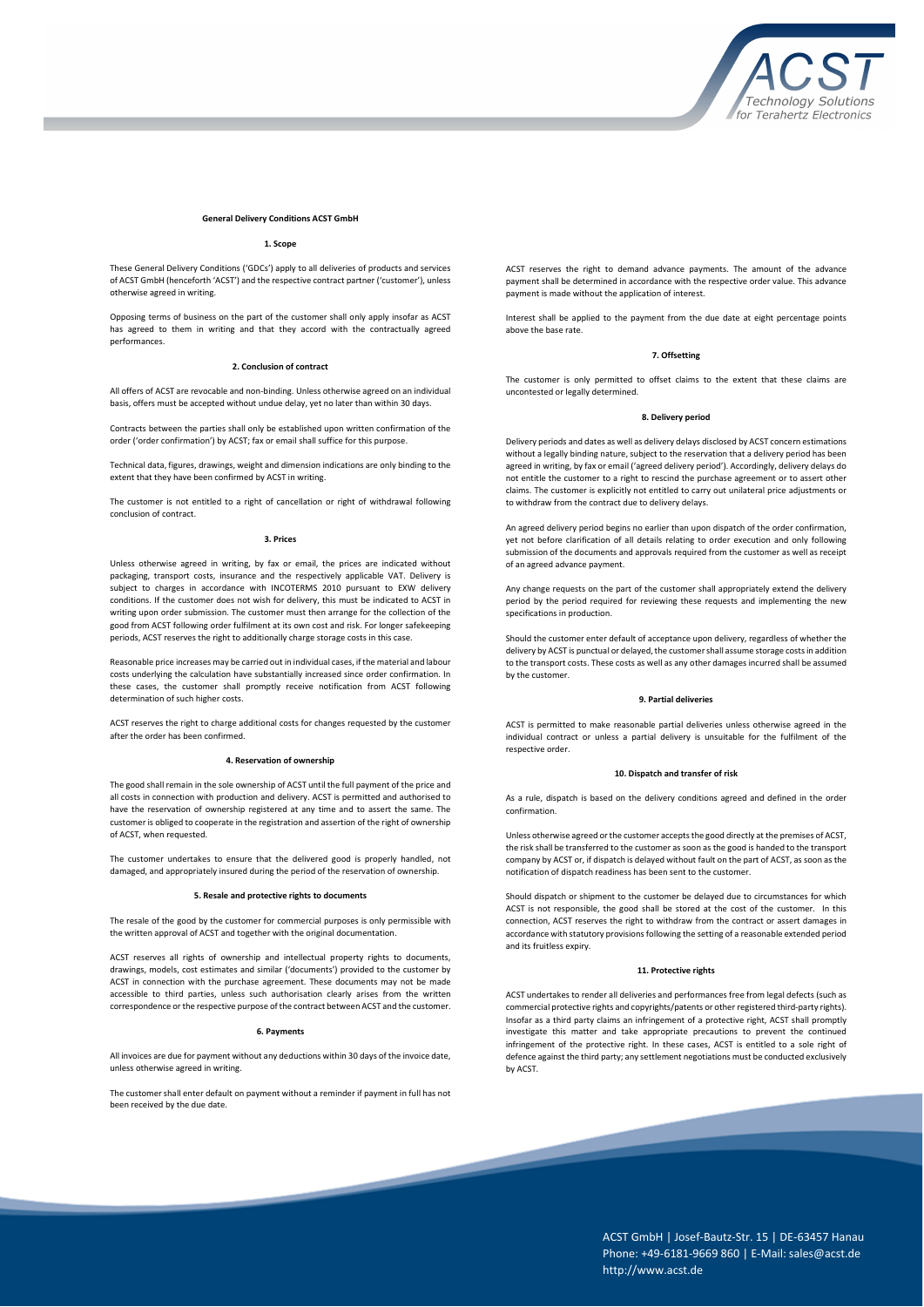

#### **General Delivery Conditions ACST GmbH**

# **1. Scope**

These General Delivery Conditions ('GDCs') apply to all deliveries of products and services of ACST GmbH (henceforth 'ACST') and the respective contract partner ('customer'), unless otherwise agreed in writing.

Opposing terms of business on the part of the customer shall only apply insofar as ACST has agreed to them in writing and that they accord with the contractually agreed performances.

# **2. Conclusion of contract**

All offers of ACST are revocable and non-binding. Unless otherwise agreed on an individual basis, offers must be accepted without undue delay, yet no later than within 30 days.

Contracts between the parties shall only be established upon written confirmation of the order ('order confirmation') by ACST; fax or email shall suffice for this purpose.

Technical data, figures, drawings, weight and dimension indications are only binding to the extent that they have been confirmed by ACST in writing.

The customer is not entitled to a right of cancellation or right of withdrawal following conclusion of contract.

# **3. Prices**

Unless otherwise agreed in writing, by fax or email, the prices are indicated without packaging, transport costs, insurance and the respectively applicable VAT. Delivery is subject to charges in accordance with INCOTERMS 2010 pursuant to EXW delivery conditions. If the customer does not wish for delivery, this must be indicated to ACST in writing upon order submission. The customer must then arrange for the collection of the good from ACST following order fulfilment at its own cost and risk. For longer safekeeping periods, ACST reserves the right to additionally charge storage costs in this case.

Reasonable price increases may be carried out in individual cases, if the material and labour costs underlying the calculation have substantially increased since order confirmation. In these cases, the customer shall promptly receive notification from ACST following determination of such higher costs.

ACST reserves the right to charge additional costs for changes requested by the customer after the order has been confirmed.

#### **4. Reservation of ownership**

The good shall remain in the sole ownership of ACST until the full payment of the price and all costs in connection with production and delivery. ACST is permitted and authorised to have the reservation of ownership registered at any time and to assert the same. The customer is obliged to cooperate in the registration and assertion of the right of ownership of ACST, when requested.

The customer undertakes to ensure that the delivered good is properly handled, not damaged, and appropriately insured during the period of the reservation of ownership.

### **5. Resale and protective rights to documents**

The resale of the good by the customer for commercial purposes is only permissible with the written approval of ACST and together with the original documentation.

ACST reserves all rights of ownership and intellectual property rights to documents, drawings, models, cost estimates and similar ('documents') provided to the customer by ACST in connection with the purchase agreement. These documents may not be made accessible to third parties, unless such authorisation clearly arises from the written correspondence or the respective purpose of the contract between ACST and the customer.

### **6. Payments**

All invoices are due for payment without any deductions within 30 days of the invoice date, unless otherwise agreed in writing.

The customer shall enter default on payment without a reminder if payment in full has not been received by the due date.

ACST reserves the right to demand advance payments. The amount of the advance payment shall be determined in accordance with the respective order value. This advance payment is made without the application of interest.

Interest shall be applied to the payment from the due date at eight percentage points above the base rate.

### **7. Offsetting**

The customer is only permitted to offset claims to the extent that these claims are uncontested or legally determined.

## **8. Delivery period**

Delivery periods and dates as well as delivery delays disclosed by ACST concern estimations without a legally binding nature, subject to the reservation that a delivery period has been agreed in writing, by fax or email ('agreed delivery period'). Accordingly, delivery delays do not entitle the customer to a right to rescind the purchase agreement or to assert other claims. The customer is explicitly not entitled to carry out unilateral price adjustments or to withdraw from the contract due to delivery delays.

An agreed delivery period begins no earlier than upon dispatch of the order confirmation, yet not before clarification of all details relating to order execution and only following submission of the documents and approvals required from the customer as well as receipt of an agreed advance payment.

Any change requests on the part of the customer shall appropriately extend the delivery period by the period required for reviewing these requests and implementing the new specifications in production.

Should the customer enter default of acceptance upon delivery, regardless of whether the delivery by ACST is punctual or delayed, the customer shall assume storage costs in addition to the transport costs. These costs as well as any other damages incurred shall be assumed by the customer.

#### **9. Partial deliveries**

ACST is permitted to make reasonable partial deliveries unless otherwise agreed in the individual contract or unless a partial delivery is unsuitable for the fulfilment of the respective order.

#### **10. Dispatch and transfer of risk**

As a rule, dispatch is based on the delivery conditions agreed and defined in the order confirmation.

Unless otherwise agreed or the customer accepts the good directly at the premises of ACST, the risk shall be transferred to the customer as soon as the good is handed to the transport company by ACST or, if dispatch is delayed without fault on the part of ACST, as soon as the notification of dispatch readiness has been sent to the customer.

Should dispatch or shipment to the customer be delayed due to circumstances for which ACST is not responsible, the good shall be stored at the cost of the customer. In this connection, ACST reserves the right to withdraw from the contract or assert damages in accordance with statutory provisions following the setting of a reasonable extended period and its fruitless expiry.

## **11. Protective rights**

ACST undertakes to render all deliveries and performances free from legal defects (such as commercial protective rights and copyrights/patents or other registered third-party rights). Insofar as a third party claims an infringement of a protective right, ACST shall promptly investigate this matter and take appropriate precautions to prevent the continued infringement of the protective right. In these cases, ACST is entitled to a sole right of defence against the third party; any settlement negotiations must be conducted exclusively by ACST

> ACST GmbH | Josef-Bautz-Str. 15 | DE-63457 Hanau Phone: +49-6181-9669 860 | E-Mail: sales@acst.de http://www.acst.de